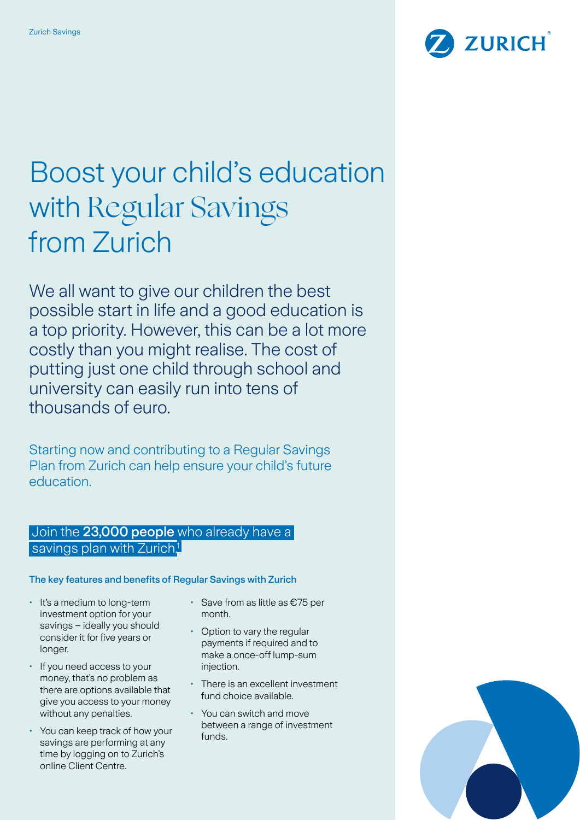

# Boost your child's education with Regular Savings from Zurich

We all want to give our children the best possible start in life and a good education is a top priority. However, this can be a lot more costly than you might realise. The cost of putting just one child through school and university can easily run into tens of thousands of euro.

Starting now and contributing to a Regular Savings Plan from Zurich can help ensure your child's future education.

## Join the 23,000 people who already have a savings plan with Zurich<sup>1</sup>

The key features and benefits of Regular Savings with Zurich

- It's a medium to long-term investment option for your savings – ideally you should consider it for five years or longer.
- If you need access to your money, that's no problem as there are options available that give you access to your money without any penalties.
- You can keep track of how your savings are performing at any time by logging on to Zurich's online Client Centre.
- Save from as little as €75 per month.
- Option to vary the regular payments if required and to make a once-off lump-sum injection.
- There is an excellent investment fund choice available.
- You can switch and move between a range of investment funds.

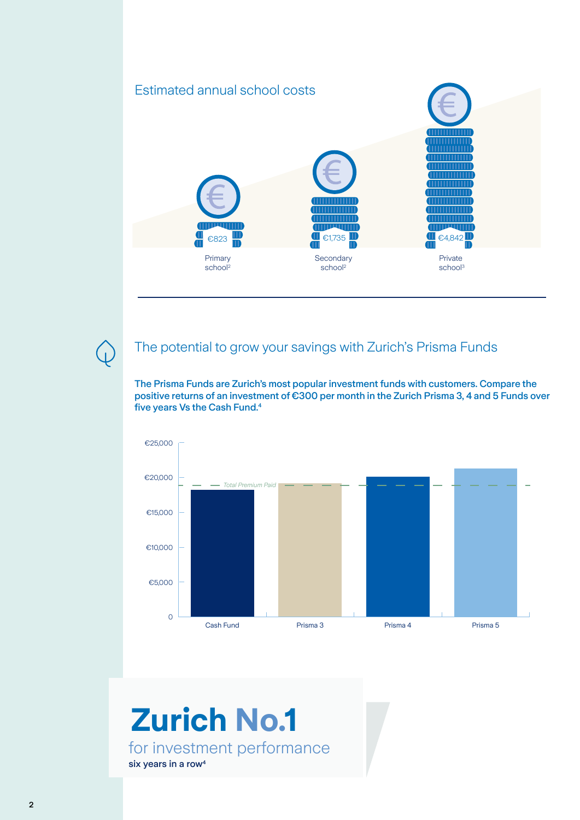## Estimated annual school costs



## The potential to grow your savings with Zurich's Prisma Funds

The Prisma Funds are Zurich's most popular investment funds with customers. Compare the positive returns of an investment of €300 per month in the Zurich Prisma 3, 4 and 5 Funds over five years Vs the Cash Fund.4



## for investment performance six years in a row<sup>4</sup> **Zurich No.1**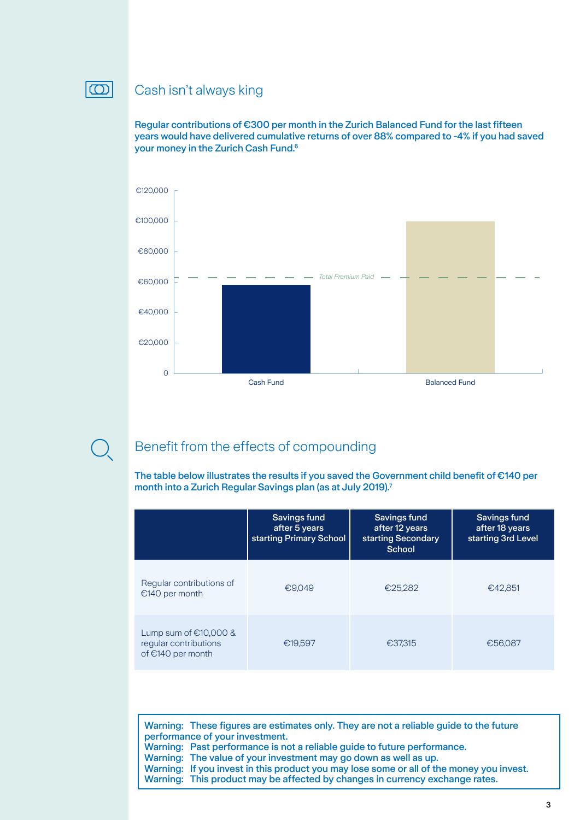

## Cash isn't always king

Regular contributions of €300 per month in the Zurich Balanced Fund for the last fifteen years would have delivered cumulative returns of over 88% compared to -4% if you had saved your money in the Zurich Cash Fund.6



Benefit from the effects of compounding

The table below illustrates the results if you saved the Government child benefit of €140 per month into a Zurich Regular Savings plan (as at July 2019).7

|                                                                         | Savings fund<br>after 5 years<br>starting Primary School | Savings fund<br>after 12 years<br>starting Secondary<br>School | Savings fund<br>after 18 years<br>starting 3rd Level |
|-------------------------------------------------------------------------|----------------------------------------------------------|----------------------------------------------------------------|------------------------------------------------------|
| Regular contributions of<br>€140 per month                              | €9.049                                                   | €25.282                                                        | €42.851                                              |
| Lump sum of $£10,000$ &<br>regular contributions<br>of $€140$ per month | €19,597                                                  | €37,315                                                        | €56.087                                              |

Warning: These figures are estimates only. They are not a reliable guide to the future performance of your investment. Warning: Past performance is not a reliable guide to future performance. Warning: The value of your investment may go down as well as up. Warning: If you invest in this product you may lose some or all of the money you invest. Warning: This product may be affected by changes in currency exchange rates.